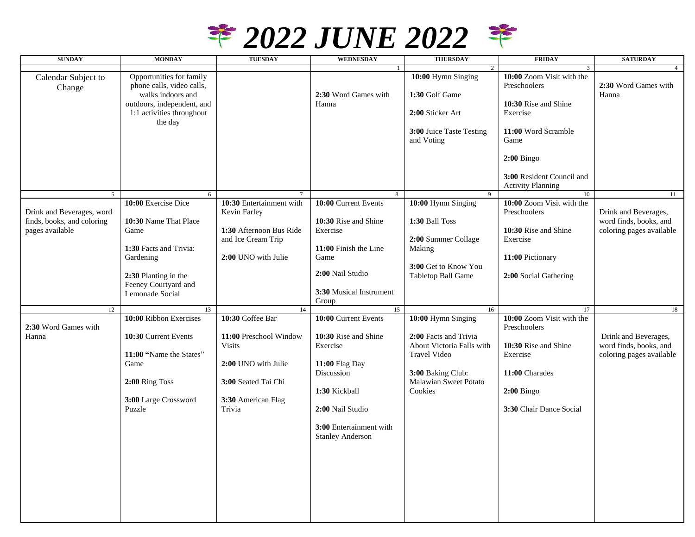

| <b>SUNDAY</b>              | <b>MONDAY</b>              | <b>TUESDAY</b>           | <b>WEDNESDAY</b>        | <b>THURSDAY</b>           | <b>FRIDAY</b>             | <b>SATURDAY</b>          |
|----------------------------|----------------------------|--------------------------|-------------------------|---------------------------|---------------------------|--------------------------|
|                            |                            |                          |                         | $\overline{2}$            | $\mathbf{3}$              | $\overline{4}$           |
| Calendar Subject to        | Opportunities for family   |                          |                         | 10:00 Hymn Singing        | 10:00 Zoom Visit with the |                          |
| Change                     | phone calls, video calls,  |                          |                         |                           | Preschoolers              | 2:30 Word Games with     |
|                            | walks indoors and          |                          | 2:30 Word Games with    | 1:30 Golf Game            |                           | Hanna                    |
|                            | outdoors, independent, and |                          | Hanna                   |                           | 10:30 Rise and Shine      |                          |
|                            | 1:1 activities throughout  |                          |                         | 2:00 Sticker Art          | Exercise                  |                          |
|                            | the day                    |                          |                         | 3:00 Juice Taste Testing  | 11:00 Word Scramble       |                          |
|                            |                            |                          |                         | and Voting                | Game                      |                          |
|                            |                            |                          |                         |                           |                           |                          |
|                            |                            |                          |                         |                           | $2:00$ Bingo              |                          |
|                            |                            |                          |                         |                           |                           |                          |
|                            |                            |                          |                         |                           | 3:00 Resident Council and |                          |
|                            |                            |                          |                         |                           | <b>Activity Planning</b>  |                          |
| 5                          | 6                          |                          | 8                       | 9                         | 10                        | 11                       |
|                            | 10:00 Exercise Dice        | 10:30 Entertainment with | 10:00 Current Events    | 10:00 Hymn Singing        | 10:00 Zoom Visit with the |                          |
| Drink and Beverages, word  |                            | Kevin Farley             |                         |                           | Preschoolers              | Drink and Beverages,     |
| finds, books, and coloring | 10:30 Name That Place      |                          | 10:30 Rise and Shine    | 1:30 Ball Toss            |                           | word finds, books, and   |
| pages available            | Game                       | 1:30 Afternoon Bus Ride  | Exercise                |                           | 10:30 Rise and Shine      | coloring pages available |
|                            | 1:30 Facts and Trivia:     | and Ice Cream Trip       | 11:00 Finish the Line   | 2:00 Summer Collage       | Exercise                  |                          |
|                            | Gardening                  | 2:00 UNO with Julie      | Game                    | Making                    | 11:00 Pictionary          |                          |
|                            |                            |                          |                         | 3:00 Get to Know You      |                           |                          |
|                            | 2:30 Planting in the       |                          | 2:00 Nail Studio        | Tabletop Ball Game        | 2:00 Social Gathering     |                          |
|                            | Feeney Courtyard and       |                          |                         |                           |                           |                          |
|                            | Lemonade Social            |                          | 3:30 Musical Instrument |                           |                           |                          |
|                            |                            |                          | Group                   |                           |                           |                          |
| 12                         | 13                         | 14                       | 15                      | 16                        | 17                        | 18                       |
| 2:30 Word Games with       | 10:00 Ribbon Exercises     | 10:30 Coffee Bar         | 10:00 Current Events    | 10:00 Hymn Singing        | 10:00 Zoom Visit with the |                          |
| Hanna                      | 10:30 Current Events       | 11:00 Preschool Window   | 10:30 Rise and Shine    | 2:00 Facts and Trivia     | Preschoolers              | Drink and Beverages,     |
|                            |                            | <b>Visits</b>            | Exercise                | About Victoria Falls with | 10:30 Rise and Shine      | word finds, books, and   |
|                            | 11:00 "Name the States"    |                          |                         | Travel Video              | Exercise                  | coloring pages available |
|                            | Game                       | 2:00 UNO with Julie      | 11:00 Flag Day          |                           |                           |                          |
|                            |                            |                          | Discussion              | 3:00 Baking Club:         | 11:00 Charades            |                          |
|                            | 2:00 Ring Toss             | 3:00 Seated Tai Chi      |                         | Malawian Sweet Potato     |                           |                          |
|                            |                            |                          | 1:30 Kickball           | Cookies                   | $2:00$ Bingo              |                          |
|                            | 3:00 Large Crossword       | 3:30 American Flag       |                         |                           |                           |                          |
|                            | Puzzle                     | Trivia                   | 2:00 Nail Studio        |                           | 3:30 Chair Dance Social   |                          |
|                            |                            |                          |                         |                           |                           |                          |
|                            |                            |                          | 3:00 Entertainment with |                           |                           |                          |
|                            |                            |                          | <b>Stanley Anderson</b> |                           |                           |                          |
|                            |                            |                          |                         |                           |                           |                          |
|                            |                            |                          |                         |                           |                           |                          |
|                            |                            |                          |                         |                           |                           |                          |
|                            |                            |                          |                         |                           |                           |                          |
|                            |                            |                          |                         |                           |                           |                          |
|                            |                            |                          |                         |                           |                           |                          |
|                            |                            |                          |                         |                           |                           |                          |
|                            |                            |                          |                         |                           |                           |                          |